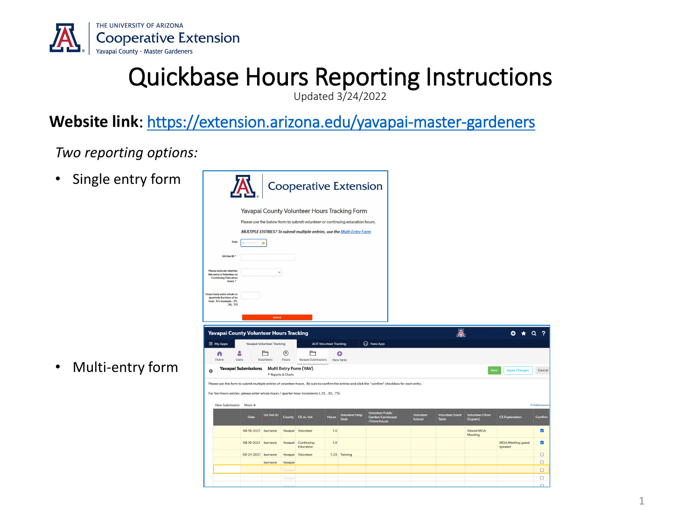

## Quickbase Hours Reporting Instructions

Updated 3/24/2022

#### **Website link**:<https://extension.arizona.edu/yavapai-master-gardeners>

*Two reporting options:*

• Single entry form



• Multi-entry form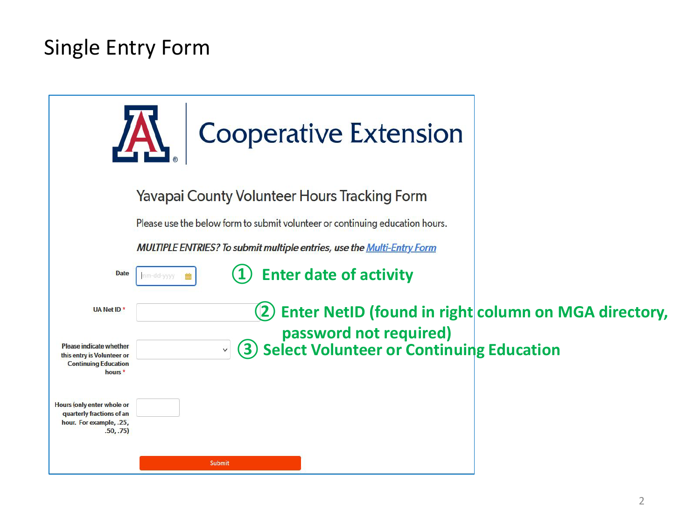## Single Entry Form

|                                                                                                                   | <b>Cooperative Extension</b>                                                          |  |
|-------------------------------------------------------------------------------------------------------------------|---------------------------------------------------------------------------------------|--|
|                                                                                                                   | <b>Yavapai County Volunteer Hours Tracking Form</b>                                   |  |
|                                                                                                                   | Please use the below form to submit volunteer or continuing education hours.          |  |
|                                                                                                                   | <b>MULTIPLE ENTRIES? To submit multiple entries, use the Multi-Entry Form</b>         |  |
| <b>Date</b>                                                                                                       | <b>Enter date of activity</b><br>mm-dd-yyyy                                           |  |
| UA Net ID <sup>*</sup>                                                                                            | Enter NetID (found in right column on MGA directory,                                  |  |
| <b>Please indicate whether</b><br>this entry is Volunteer or<br><b>Continuing Education</b><br>hours <sup>*</sup> | password not required)<br>3) Select Volunteer or Continuing Education<br>$\checkmark$ |  |
| Hours (only enter whole or<br>quarterly fractions of an<br>hour. For example, .25,<br>.50, .75)                   |                                                                                       |  |
|                                                                                                                   | <b>Submit</b>                                                                         |  |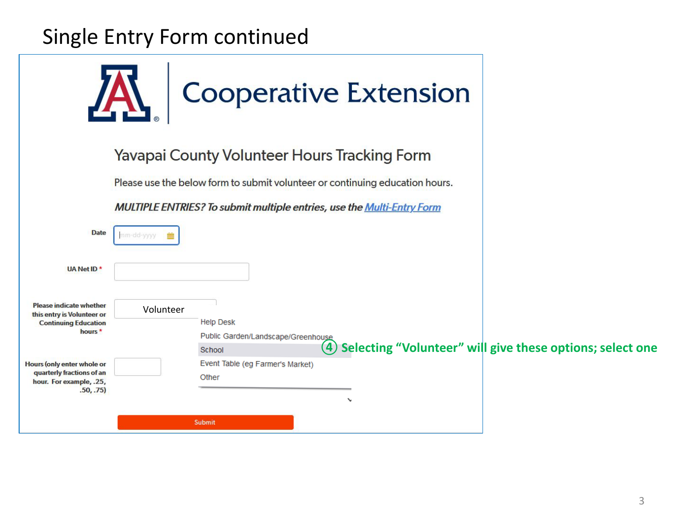## Single Entry Form continued



#### Yavapai County Volunteer Hours Tracking Form

Please use the below form to submit volunteer or continuing education hours.

MULTIPLE ENTRIES? To submit multiple entries, use the Multi-Entry Form

| <b>Date</b>                                                                                 | nm-dd-yyyy |                                  |                                    |              |                                                               |
|---------------------------------------------------------------------------------------------|------------|----------------------------------|------------------------------------|--------------|---------------------------------------------------------------|
| UA Net ID <sup>*</sup>                                                                      |            |                                  |                                    |              |                                                               |
| <b>Please indicate whether</b><br>this entry is Volunteer or<br><b>Continuing Education</b> | Volunteer  | <b>Help Desk</b>                 |                                    |              |                                                               |
| hours <sup>*</sup>                                                                          |            |                                  | Public Garden/Landscape/Greenhouse |              |                                                               |
|                                                                                             |            | School                           |                                    |              | (4) Selecting "Volunteer" will give these options; select one |
| <b>Hours (only enter whole or</b>                                                           |            | Event Table (eg Farmer's Market) |                                    |              |                                                               |
| quarterly fractions of an<br>hour. For example, .25,                                        |            | Other                            |                                    |              |                                                               |
| .50, .75)                                                                                   |            |                                  |                                    |              |                                                               |
|                                                                                             |            |                                  |                                    | $\checkmark$ |                                                               |
|                                                                                             |            | Submit                           |                                    |              |                                                               |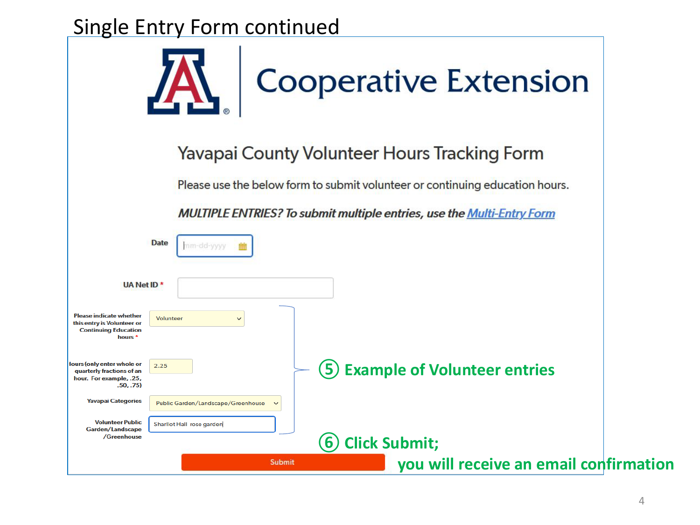#### Single Entry Form continued

|                                                                                                                   | <b>Cooperative Extension</b>                                                  |
|-------------------------------------------------------------------------------------------------------------------|-------------------------------------------------------------------------------|
|                                                                                                                   | Yavapai County Volunteer Hours Tracking Form                                  |
|                                                                                                                   | Please use the below form to submit volunteer or continuing education hours.  |
|                                                                                                                   | <b>MULTIPLE ENTRIES? To submit multiple entries, use the Multi-Entry Form</b> |
|                                                                                                                   | <b>Date</b><br>mm-dd-yyyy                                                     |
| UA Net ID <sup>*</sup>                                                                                            |                                                                               |
| <b>Please indicate whether</b><br>this entry is Volunteer or<br><b>Continuing Education</b><br>hours <sup>*</sup> | <b>Volunteer</b><br>$\checkmark$                                              |
| lours (only enter whole or<br>quarterly fractions of an<br>hour. For example, .25,<br>.50, .75)                   | 2.25<br><b>Example of Volunteer entries</b><br>5                              |
| <b>Yavapai Categories</b>                                                                                         | Public Garden/Landscape/Greenhouse<br>$\check{ }$                             |
| <b>Volunteer Public</b><br>Garden/Landscape<br>/Greenhouse                                                        | Sharllot Hall rose garden<br><b>Click Submit;</b><br>(6)                      |
|                                                                                                                   | you will receive an email confirmation<br><b>Submit</b>                       |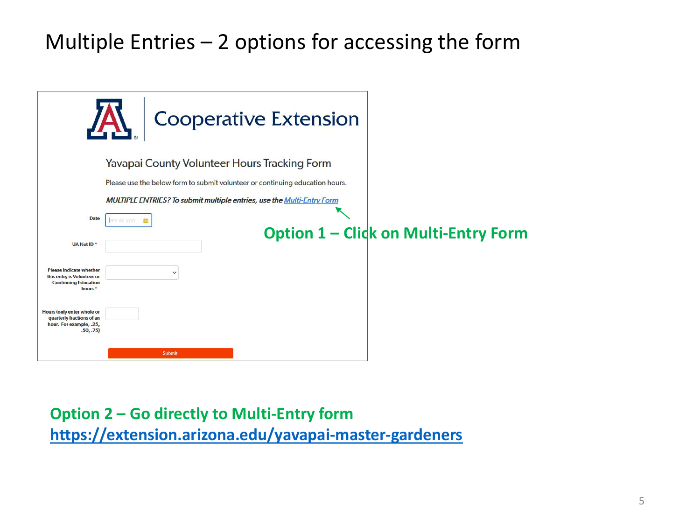## Multiple Entries – 2 options for accessing the form

|                                                                                                                   | <b>Cooperative Extension</b>                                                  |                                             |
|-------------------------------------------------------------------------------------------------------------------|-------------------------------------------------------------------------------|---------------------------------------------|
|                                                                                                                   | <b>Yavapai County Volunteer Hours Tracking Form</b>                           |                                             |
|                                                                                                                   | Please use the below form to submit volunteer or continuing education hours.  |                                             |
|                                                                                                                   | <b>MULTIPLE ENTRIES? To submit multiple entries, use the Multi-Entry Form</b> |                                             |
| <b>Date</b>                                                                                                       | mm-dd-yyyy                                                                    |                                             |
| UA Net ID <sup>*</sup>                                                                                            |                                                                               | <b>Option 1 - Click on Multi-Entry Form</b> |
| <b>Please indicate whether</b><br>this entry is Volunteer or<br><b>Continuing Education</b><br>hours <sup>*</sup> | $\checkmark$                                                                  |                                             |
| Hours (only enter whole or<br>quarterly fractions of an<br>hour. For example, .25,<br>.50, .75)                   |                                                                               |                                             |
|                                                                                                                   | Submit                                                                        |                                             |

#### **Option 2 – Go directly to Multi-Entry form**

**<https://extension.arizona.edu/yavapai-master-gardeners>**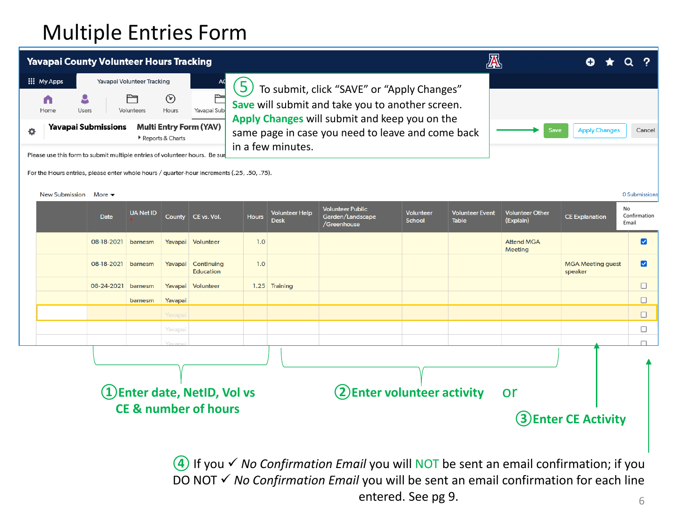## Multiple Entries Form

|   |                       | <b>Yavapai County Volunteer Hours Tracking</b>                                             |                            |                     |                                 |              |                                      |                                                                                                   |                     | A                               |                                     |                                     |                             |  |
|---|-----------------------|--------------------------------------------------------------------------------------------|----------------------------|---------------------|---------------------------------|--------------|--------------------------------------|---------------------------------------------------------------------------------------------------|---------------------|---------------------------------|-------------------------------------|-------------------------------------|-----------------------------|--|
|   | <b>III</b> My Apps    |                                                                                            | Yavapai Volunteer Tracking |                     | AC                              | 5            |                                      | To submit, click "SAVE" or "Apply Changes"                                                        |                     |                                 |                                     |                                     |                             |  |
|   | Home                  | Users                                                                                      | Volunteers                 | $_{\odot}$<br>Hours | Yavapai Sub                     |              |                                      | Save will submit and take you to another screen.<br>Apply Changes will submit and keep you on the |                     |                                 |                                     |                                     |                             |  |
| o |                       | <b>Yavapai Submissions</b>                                                                 |                            | Reports & Charts    | <b>Multi Entry Form (YAV)</b>   |              | in a few minutes.                    | same page in case you need to leave and come back                                                 |                     |                                 | Save                                | <b>Apply Changes</b>                | Cancel                      |  |
|   |                       | Please use this form to submit multiple entries of volunteer hours. Be sur                 |                            |                     |                                 |              |                                      |                                                                                                   |                     |                                 |                                     |                                     |                             |  |
|   |                       | For the Hours entries, please enter whole hours / quarter-hour increments (.25, .50, .75). |                            |                     |                                 |              |                                      |                                                                                                   |                     |                                 |                                     |                                     |                             |  |
|   | <b>New Submission</b> | More $\blacktriangleright$                                                                 |                            |                     |                                 |              |                                      |                                                                                                   |                     |                                 |                                     |                                     | 0 Submissions               |  |
|   |                       |                                                                                            |                            |                     |                                 |              |                                      |                                                                                                   |                     |                                 |                                     |                                     |                             |  |
|   |                       | <b>Date</b>                                                                                | <b>UA Net ID</b>           |                     | County   CE vs. Vol.            | <b>Hours</b> | <b>Volunteer Help</b><br><b>Desk</b> | <b>Volunteer Public</b><br>Garden/Landscape<br>/Greenhouse                                        | Volunteer<br>School | <b>Volunteer Event</b><br>Table | <b>Volunteer Other</b><br>(Explain) | <b>CE Explanation</b>               | No<br>Confirmation<br>Email |  |
|   |                       | 08-18-2021                                                                                 | barnesm                    | Yavapai             | Volunteer                       | 1.0          |                                      |                                                                                                   |                     |                                 | <b>Attend MGA</b><br>Meeting        |                                     | ☑                           |  |
|   |                       | 08-18-2021                                                                                 | barnesm                    | Yavapai             | Continuing<br><b>Education</b>  | 1.0          |                                      |                                                                                                   |                     |                                 |                                     | <b>MGA Meeting guest</b><br>speaker | ☑                           |  |
|   |                       | 08-24-2021                                                                                 | barnesm                    | Yavapai             | Volunteer                       |              | 1.25 Training                        |                                                                                                   |                     |                                 |                                     |                                     | □                           |  |
|   |                       |                                                                                            | barnesm                    | Yavapai             |                                 |              |                                      |                                                                                                   |                     |                                 |                                     |                                     | $\Box$                      |  |
|   |                       |                                                                                            |                            | Yavapa              |                                 |              |                                      |                                                                                                   |                     |                                 |                                     |                                     | $\Box$                      |  |
|   |                       |                                                                                            |                            | Yavapai             |                                 |              |                                      |                                                                                                   |                     |                                 |                                     |                                     | □                           |  |
|   |                       |                                                                                            |                            |                     |                                 |              |                                      |                                                                                                   |                     |                                 |                                     |                                     |                             |  |
|   |                       |                                                                                            |                            |                     |                                 |              |                                      |                                                                                                   |                     |                                 |                                     |                                     |                             |  |
|   |                       |                                                                                            |                            |                     |                                 |              |                                      |                                                                                                   |                     |                                 |                                     |                                     |                             |  |
|   |                       |                                                                                            |                            |                     | 1) Enter date, NetID, Vol vs    |              |                                      | (2) Enter volunteer activity                                                                      |                     |                                 | or                                  |                                     |                             |  |
|   |                       |                                                                                            |                            |                     | <b>CE &amp; number of hours</b> |              |                                      |                                                                                                   |                     |                                 |                                     |                                     |                             |  |
|   |                       |                                                                                            |                            |                     |                                 |              |                                      |                                                                                                   |                     |                                 |                                     | 3) Enter CE Activity                |                             |  |

**④**If you *No Confirmation Email* you will NOT be sent an email confirmation; if you DO NOT √ No Confirmation *Email* you will be sent an email confirmation for each line entered. See pg 9. 6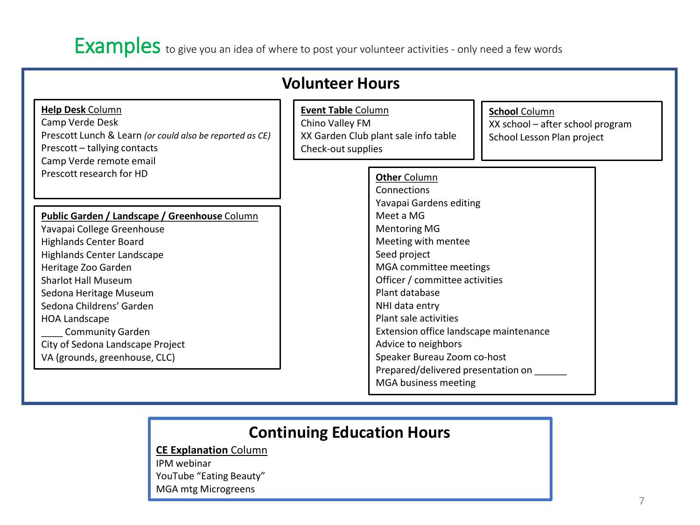#### Examples to give you an idea of where to post your volunteer activities - only need a few words

|                                                                                                                                                                                                                                                                                                                                                                                      | <b>Volunteer Hours</b>                                                                                                                                                                                                                                                                                                                                            |
|--------------------------------------------------------------------------------------------------------------------------------------------------------------------------------------------------------------------------------------------------------------------------------------------------------------------------------------------------------------------------------------|-------------------------------------------------------------------------------------------------------------------------------------------------------------------------------------------------------------------------------------------------------------------------------------------------------------------------------------------------------------------|
| <b>Help Desk Column</b><br>Camp Verde Desk<br>Prescott Lunch & Learn (or could also be reported as CE)<br>Prescott - tallying contacts<br>Camp Verde remote email<br>Prescott research for HD                                                                                                                                                                                        | <b>Event Table Column</b><br><b>School Column</b><br>Chino Valley FM<br>XX school - after school program<br>XX Garden Club plant sale info table<br>School Lesson Plan project<br>Check-out supplies                                                                                                                                                              |
|                                                                                                                                                                                                                                                                                                                                                                                      | <b>Other Column</b><br>Connections                                                                                                                                                                                                                                                                                                                                |
| Public Garden / Landscape / Greenhouse Column<br>Yavapai College Greenhouse<br><b>Highlands Center Board</b><br><b>Highlands Center Landscape</b><br>Heritage Zoo Garden<br><b>Sharlot Hall Museum</b><br>Sedona Heritage Museum<br>Sedona Childrens' Garden<br><b>HOA Landscape</b><br><b>Community Garden</b><br>City of Sedona Landscape Project<br>VA (grounds, greenhouse, CLC) | Yavapai Gardens editing<br>Meet a MG<br><b>Mentoring MG</b><br>Meeting with mentee<br>Seed project<br>MGA committee meetings<br>Officer / committee activities<br>Plant database<br>NHI data entry<br>Plant sale activities<br>Extension office landscape maintenance<br>Advice to neighbors<br>Speaker Bureau Zoom co-host<br>Prepared/delivered presentation on |

#### **Continuing Education Hours**

**CE Explanation** Column

IPM webinar YouTube "Eating Beauty" MGA mtg Microgreens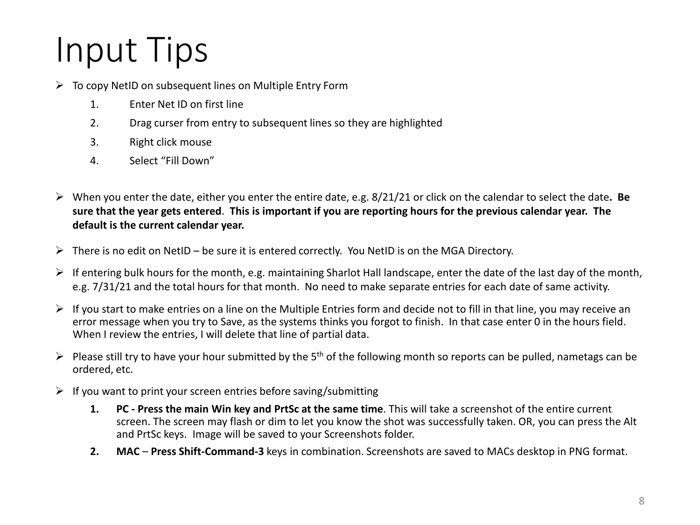# Input Tips

- $\triangleright$  To copy NetID on subsequent lines on Multiple Entry Form
	- 1. Enter Net ID on first line
	- 2. Drag curser from entry to subsequent lines so they are highlighted
	- 3. Right click mouse
	- 4. Select "Fill Down"
- When you enter the date, either you enter the entire date, e.g. 8/21/21 or click on the calendar to select the date**. Be sure that the year gets entered**. **This is important if you are reporting hours for the previous calendar year. The default is the current calendar year.**
- $\triangleright$  There is no edit on NetID be sure it is entered correctly. You NetID is on the MGA Directory.
- $\triangleright$  If entering bulk hours for the month, e.g. maintaining Sharlot Hall landscape, enter the date of the last day of the month, e.g. 7/31/21 and the total hours for that month. No need to make separate entries for each date of same activity.
- $\triangleright$  If you start to make entries on a line on the Multiple Entries form and decide not to fill in that line, you may receive an error message when you try to Save, as the systems thinks you forgot to finish. In that case enter 0 in the hours field. When I review the entries, I will delete that line of partial data.
- Please still try to have your hour submitted by the 5<sup>th</sup> of the following month so reports can be pulled, nametags can be ordered, etc.
- $\triangleright$  If you want to print your screen entries before saving/submitting
	- **1. PC - Press the main Win key and PrtSc at the same time**. This will take a screenshot of the entire current screen. The screen may flash or dim to let you know the shot was successfully taken. OR, you can press the Alt and PrtSc keys. Image will be saved to your Screenshots folder.
	- **2. MAC Press Shift-Command-3** keys in combination. Screenshots are saved to MACs desktop in PNG format.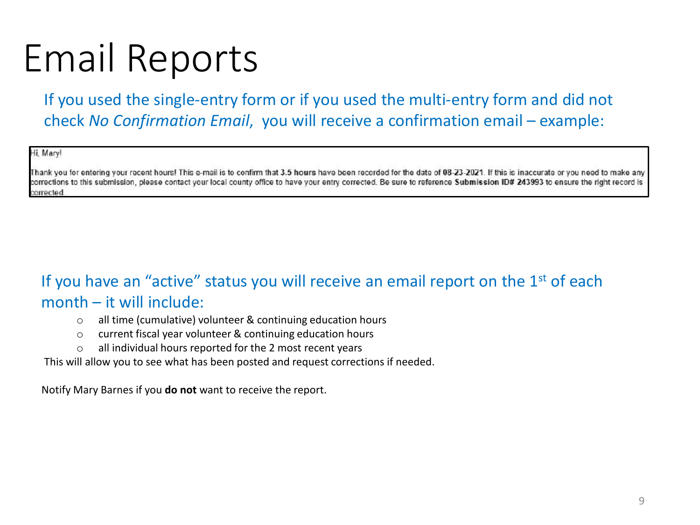# Email Reports

If you used the single-entry form or if you used the multi-entry form and did not check *No Confirmation Email*, you will receive a confirmation email – example:

Hi, Mary!

Thank you for entering your recent hours! This e-mail is to confirm that 3.5 hours have been recorded for the date of 08-23-2021. If this is inaccurate or you need to make any corrections to this submission, please contact your local county office to have your entry corrected. Be sure to reference Submission ID# 243993 to ensure the right record is corrected.

#### If you have an "active" status you will receive an email report on the  $1<sup>st</sup>$  of each month – it will include:

- o all time (cumulative) volunteer & continuing education hours
- o current fiscal year volunteer & continuing education hours
- o all individual hours reported for the 2 most recent years

This will allow you to see what has been posted and request corrections if needed.

Notify Mary Barnes if you **do not** want to receive the report.